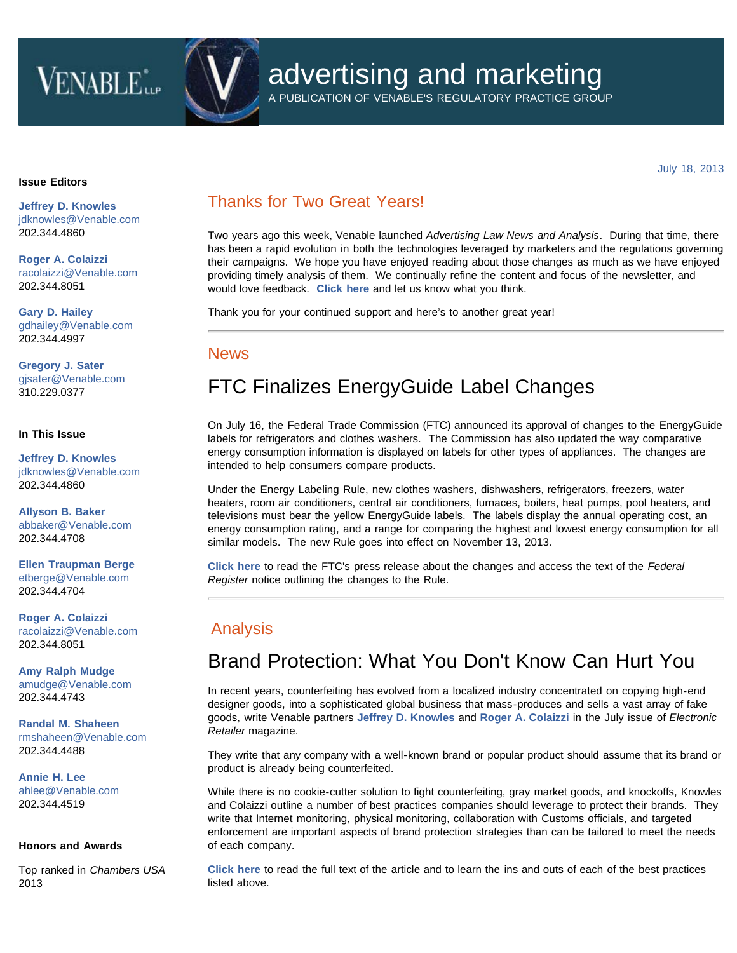# **VENABLE**iLP



# advertising and marketing

A PUBLICATION OF VENABLE'S REGULATORY PRACTICE GROUP

July 18, 2013

#### **Issue Editors**

**[Jeffrey D. Knowles](http://www.venable.com/Jeffrey-D-Knowles)** [jdknowles@Venable.com](mailto:jdknowles@Venable.com) 202.344.4860

**[Roger A. Colaizzi](http://www.venable.com/Roger-A-Colaizzi)** [racolaizzi@Venable.com](mailto:racolaizzi@Venable.com) 202.344.8051

**[Gary D. Hailey](http://www.venable.com/Gary-D-Hailey)** [gdhailey@Venable.com](mailto:gdhailey@Venable.com) 202.344.4997

**[Gregory J. Sater](http://www.venable.com/Gregory-J-Sater)** [gjsater@Venable.com](mailto:gjsater@Venable.com) 310.229.0377

### **In This Issue**

**[Jeffrey D. Knowles](http://www.venable.com/Jeffrey-D-Knowles)** [jdknowles@Venable.com](mailto:jdknowles@Venable.com) 202.344.4860

**[Allyson B. Baker](http://www.venable.com/Allyson-B-Baker)** [abbaker@Venable.com](mailto:abbaker@Venable.com) 202.344.4708

**[Ellen Traupman Berge](http://www.venable.com/Ellen-T-Berge)** [etberge@Venable.com](mailto:etberge@Venable.com) 202.344.4704

**[Roger A. Colaizzi](http://www.venable.com/Roger-A-Colaizzi)** [racolaizzi@Venable.com](mailto:racolaizzi@Venable.com) 202.344.8051

**[Amy Ralph Mudge](http://www.venable.com/Amy-R-Mudge)** [amudge@Venable.com](mailto:amudge@Venable.com) 202.344.4743

**[Randal M. Shaheen](http://www.venable.com/Randal-M-Shaheen)** [rmshaheen@Venable.com](mailto:rmshaheen@Venable.com) 202.344.4488

**[Annie H. Lee](http://www.venable.com/Annie-H-Lee)** [ahlee@Venable.com](mailto:ahlee@Venable.com) 202.344.4519

### **Honors and Awards**

Top ranked in *Chambers USA* 2013

### Thanks for Two Great Years!

Two years ago this week, Venable launched *Advertising Law News and Analysis*. During that time, there has been a rapid evolution in both the technologies leveraged by marketers and the regulations governing their campaigns. We hope you have enjoyed reading about those changes as much as we have enjoyed providing timely analysis of them. We continually refine the content and focus of the newsletter, and would love feedback. **[Click here](mailto:cwilkins@Venable.com?subject=Feedback: Advertising Law News & Analysis)** and let us know what you think.

Thank you for your continued support and here's to another great year!

### News

## FTC Finalizes EnergyGuide Label Changes

On July 16, the Federal Trade Commission (FTC) announced its approval of changes to the EnergyGuide labels for refrigerators and clothes washers. The Commission has also updated the way comparative energy consumption information is displayed on labels for other types of appliances. The changes are intended to help consumers compare products.

Under the Energy Labeling Rule, new clothes washers, dishwashers, refrigerators, freezers, water heaters, room air conditioners, central air conditioners, furnaces, boilers, heat pumps, pool heaters, and televisions must bear the yellow EnergyGuide labels. The labels display the annual operating cost, an energy consumption rating, and a range for comparing the highest and lowest energy consumption for all similar models. The new Rule goes into effect on November 13, 2013.

**[Click here](http://www.ftc.gov/opa/2013/07/energylabeling.shtm)** to read the FTC's press release about the changes and access the text of the *Federal Register* notice outlining the changes to the Rule.

### Analysis

### Brand Protection: What You Don't Know Can Hurt You

In recent years, counterfeiting has evolved from a localized industry concentrated on copying high-end designer goods, into a sophisticated global business that mass-produces and sells a vast array of fake goods, write Venable partners **[Jeffrey D. Knowles](http://www.venable.com/jeffrey-d-knowles/)** and **[Roger A. Colaizzi](http://www.venable.com/roger-a-colaizzi/)** in the July issue of *Electronic Retailer* magazine.

They write that any company with a well-known brand or popular product should assume that its brand or product is already being counterfeited.

While there is no cookie-cutter solution to fight counterfeiting, gray market goods, and knockoffs, Knowles and Colaizzi outline a number of best practices companies should leverage to protect their brands. They write that Internet monitoring, physical monitoring, collaboration with Customs officials, and targeted enforcement are important aspects of brand protection strategies than can be tailored to meet the needs of each company.

**[Click here](http://www.nxtbook.com/ygsreprints/ERA/g35161_era_jul2013/index.php#/46)** to read the full text of the article and to learn the ins and outs of each of the best practices listed above.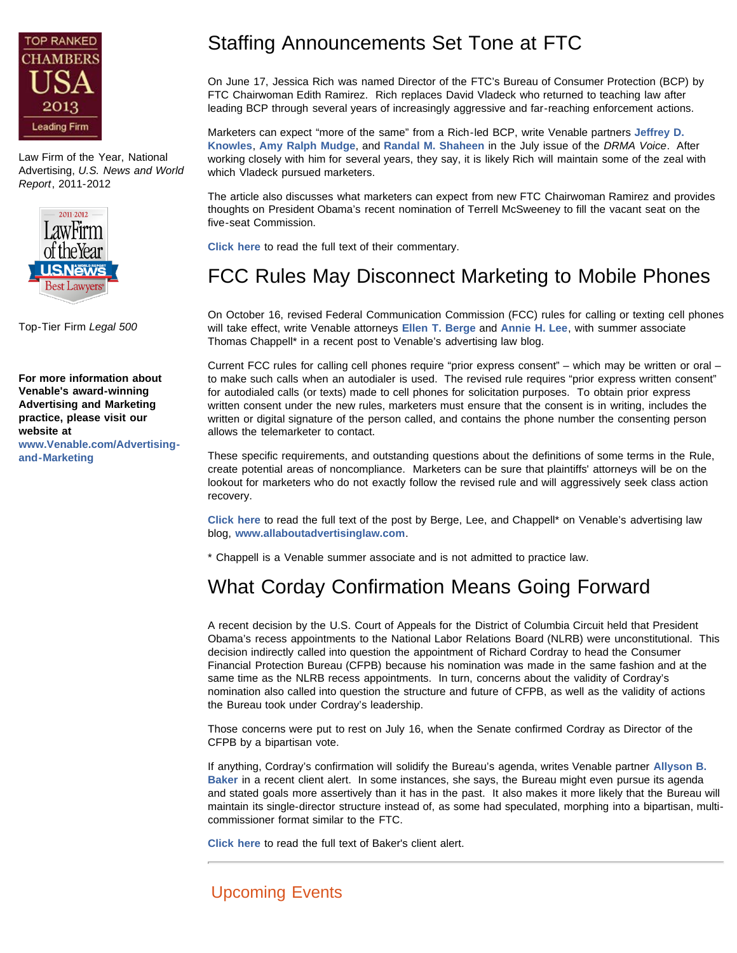

Law Firm of the Year, National Advertising, *U.S. News and World Report*, 2011-2012



Top-Tier Firm *Legal 500*

**For more information about Venable's award-winning Advertising and Marketing practice, please visit our website at [www.Venable.com/Advertising](http://www.venable.com/Advertising-and-Marketing)[and-Marketing](http://www.venable.com/Advertising-and-Marketing)**

# Staffing Announcements Set Tone at FTC

On June 17, Jessica Rich was named Director of the FTC's Bureau of Consumer Protection (BCP) by FTC Chairwoman Edith Ramirez. Rich replaces David Vladeck who returned to teaching law after leading BCP through several years of increasingly aggressive and far-reaching enforcement actions.

Marketers can expect "more of the same" from a Rich-led BCP, write Venable partners **[Jeffrey D.](http://www.venable.com/jeffrey-d-knowles/) [Knowles](http://www.venable.com/jeffrey-d-knowles/)**, **[Amy Ralph Mudge](http://www.venable.com/amy-r-mudge/)**, and **[Randal M. Shaheen](http://www.venable.com/randal-m-shaheen/)** in the July issue of the *DRMA Voice*. After working closely with him for several years, they say, it is likely Rich will maintain some of the zeal with which Vladeck pursued marketers.

The article also discusses what marketers can expect from new FTC Chairwoman Ramirez and provides thoughts on President Obama's recent nomination of Terrell McSweeney to fill the vacant seat on the five-seat Commission.

**[Click here](http://www.responsemagazine.com/drma/pair-june-announcements-sets-stage-ftc-5384)** to read the full text of their commentary.

### FCC Rules May Disconnect Marketing to Mobile Phones

On October 16, revised Federal Communication Commission (FCC) rules for calling or texting cell phones will take effect, write Venable attorneys **[Ellen T. Berge](http://www.venable.com/ellen-t-berge/)** and **[Annie H. Lee](http://www.venable.com/annie-h-lee/)**, with summer associate Thomas Chappell\* in a recent post to Venable's advertising law blog.

Current FCC rules for calling cell phones require "prior express consent" – which may be written or oral – to make such calls when an autodialer is used. The revised rule requires "prior express written consent" for autodialed calls (or texts) made to cell phones for solicitation purposes. To obtain prior express written consent under the new rules, marketers must ensure that the consent is in writing, includes the written or digital signature of the person called, and contains the phone number the consenting person allows the telemarketer to contact.

These specific requirements, and outstanding questions about the definitions of some terms in the Rule, create potential areas of noncompliance. Marketers can be sure that plaintiffs' attorneys will be on the lookout for marketers who do not exactly follow the revised rule and will aggressively seek class action recovery.

**[Click here](http://www.allaboutadvertisinglaw.com/blog/2013/07/attention-marketers-are-you-ready-for-the-fccs-new-rule-for-calling-and-texting-cell-phones.html)** to read the full text of the post by Berge, Lee, and Chappell\* on Venable's advertising law blog, **[www.allaboutadvertisinglaw.com](http://www.allaboutadvertisinglaw.com/)**.

\* Chappell is a Venable summer associate and is not admitted to practice law.

## What Corday Confirmation Means Going Forward

A recent decision by the U.S. Court of Appeals for the District of Columbia Circuit held that President Obama's recess appointments to the National Labor Relations Board (NLRB) were unconstitutional. This decision indirectly called into question the appointment of Richard Cordray to head the Consumer Financial Protection Bureau (CFPB) because his nomination was made in the same fashion and at the same time as the NLRB recess appointments. In turn, concerns about the validity of Cordray's nomination also called into question the structure and future of CFPB, as well as the validity of actions the Bureau took under Cordray's leadership.

Those concerns were put to rest on July 16, when the Senate confirmed Cordray as Director of the CFPB by a bipartisan vote.

If anything, Cordray's confirmation will solidify the Bureau's agenda, writes Venable partner **[Allyson B.](http://www.venable.com/allyson-b-baker/) [Baker](http://www.venable.com/allyson-b-baker/)** in a recent client alert. In some instances, she says, the Bureau might even pursue its agenda and stated goals more assertively than it has in the past. It also makes it more likely that the Bureau will maintain its single-director structure instead of, as some had speculated, morphing into a bipartisan, multicommissioner format similar to the FTC.

**[Click here](http://www.venable.com/the-senates-confirmation-of-richard-cordray-as-director-of-the-consumer-financial-protection-bureau-and-what-this-means-going-forward-07-17-2013/)** to read the full text of Baker's client alert.

### Upcoming Events